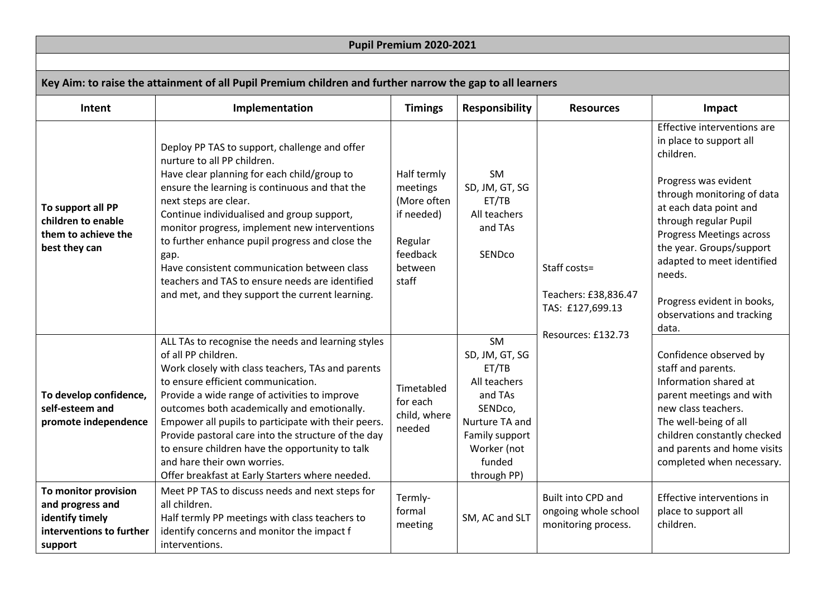| Pupil Premium 2020-2021                                                                                   |                                                                                                                                                                                                                                                                                                                                                                                                                                                                                                                                                                            |                                                                                                 |                                                                                                                                                 |                                                                                |                                                                                                                                                                                                                                                                                                                                                  |  |  |  |  |
|-----------------------------------------------------------------------------------------------------------|----------------------------------------------------------------------------------------------------------------------------------------------------------------------------------------------------------------------------------------------------------------------------------------------------------------------------------------------------------------------------------------------------------------------------------------------------------------------------------------------------------------------------------------------------------------------------|-------------------------------------------------------------------------------------------------|-------------------------------------------------------------------------------------------------------------------------------------------------|--------------------------------------------------------------------------------|--------------------------------------------------------------------------------------------------------------------------------------------------------------------------------------------------------------------------------------------------------------------------------------------------------------------------------------------------|--|--|--|--|
|                                                                                                           |                                                                                                                                                                                                                                                                                                                                                                                                                                                                                                                                                                            |                                                                                                 |                                                                                                                                                 |                                                                                |                                                                                                                                                                                                                                                                                                                                                  |  |  |  |  |
| Key Aim: to raise the attainment of all Pupil Premium children and further narrow the gap to all learners |                                                                                                                                                                                                                                                                                                                                                                                                                                                                                                                                                                            |                                                                                                 |                                                                                                                                                 |                                                                                |                                                                                                                                                                                                                                                                                                                                                  |  |  |  |  |
| Intent                                                                                                    | Implementation                                                                                                                                                                                                                                                                                                                                                                                                                                                                                                                                                             | <b>Timings</b>                                                                                  | <b>Responsibility</b>                                                                                                                           | <b>Resources</b>                                                               | Impact                                                                                                                                                                                                                                                                                                                                           |  |  |  |  |
| To support all PP<br>children to enable<br>them to achieve the<br>best they can                           | Deploy PP TAS to support, challenge and offer<br>nurture to all PP children.<br>Have clear planning for each child/group to<br>ensure the learning is continuous and that the<br>next steps are clear.<br>Continue individualised and group support,<br>monitor progress, implement new interventions<br>to further enhance pupil progress and close the<br>gap.<br>Have consistent communication between class<br>teachers and TAS to ensure needs are identified<br>and met, and they support the current learning.                                                      | Half termly<br>meetings<br>(More often<br>if needed)<br>Regular<br>feedback<br>between<br>staff | <b>SM</b><br>SD, JM, GT, SG<br>ET/TB<br>All teachers<br>and TAs<br><b>SEND<sub>co</sub></b>                                                     | Staff costs=<br>Teachers: £38,836.47<br>TAS: £127,699.13<br>Resources: £132.73 | Effective interventions are<br>in place to support all<br>children.<br>Progress was evident<br>through monitoring of data<br>at each data point and<br>through regular Pupil<br>Progress Meetings across<br>the year. Groups/support<br>adapted to meet identified<br>needs.<br>Progress evident in books,<br>observations and tracking<br>data. |  |  |  |  |
| To develop confidence,<br>self-esteem and<br>promote independence<br>To monitor provision                 | ALL TAs to recognise the needs and learning styles<br>of all PP children.<br>Work closely with class teachers, TAs and parents<br>to ensure efficient communication.<br>Provide a wide range of activities to improve<br>outcomes both academically and emotionally.<br>Empower all pupils to participate with their peers.<br>Provide pastoral care into the structure of the day<br>to ensure children have the opportunity to talk<br>and hare their own worries.<br>Offer breakfast at Early Starters where needed.<br>Meet PP TAS to discuss needs and next steps for | Timetabled<br>for each<br>child, where<br>needed                                                | SM<br>SD, JM, GT, SG<br>ET/TB<br>All teachers<br>and TAs<br>SENDco,<br>Nurture TA and<br>Family support<br>Worker (not<br>funded<br>through PP) |                                                                                | Confidence observed by<br>staff and parents.<br>Information shared at<br>parent meetings and with<br>new class teachers.<br>The well-being of all<br>children constantly checked<br>and parents and home visits<br>completed when necessary.                                                                                                     |  |  |  |  |
| and progress and<br>identify timely<br>interventions to further<br>support                                | all children.<br>Half termly PP meetings with class teachers to<br>identify concerns and monitor the impact f<br>interventions.                                                                                                                                                                                                                                                                                                                                                                                                                                            | Termly-<br>formal<br>meeting                                                                    | SM, AC and SLT                                                                                                                                  | Built into CPD and<br>ongoing whole school<br>monitoring process.              | Effective interventions in<br>place to support all<br>children.                                                                                                                                                                                                                                                                                  |  |  |  |  |